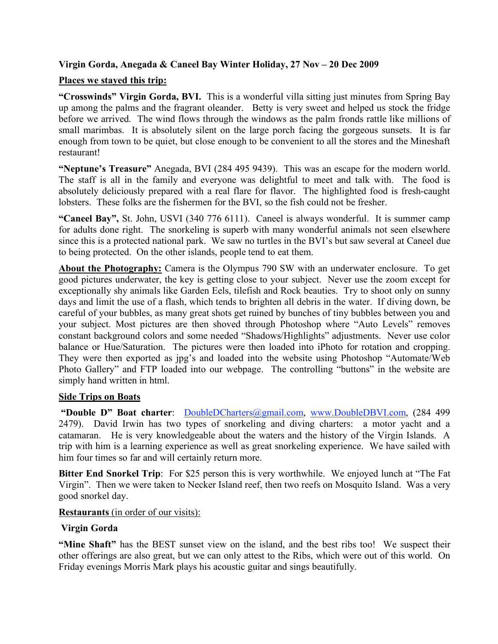## **Virgin Gorda, Anegada & Caneel Bay Winter Holiday, 27 Nov – 20 Dec 2009**

## **Places we stayed this trip:**

**"Crosswinds" Virgin Gorda, BVI.** This is a wonderful villa sitting just minutes from Spring Bay up among the palms and the fragrant oleander. Betty is very sweet and helped us stock the fridge before we arrived. The wind flows through the windows as the palm fronds rattle like millions of small marimbas. It is absolutely silent on the large porch facing the gorgeous sunsets. It is far enough from town to be quiet, but close enough to be convenient to all the stores and the Mineshaft restaurant!

**"Neptune's Treasure"** Anegada, BVI (284 495 9439). This was an escape for the modern world. The staff is all in the family and everyone was delightful to meet and talk with. The food is absolutely deliciously prepared with a real flare for flavor. The highlighted food is fresh-caught lobsters. These folks are the fishermen for the BVI, so the fish could not be fresher.

**"Caneel Bay",** St. John, USVI (340 776 6111). Caneel is always wonderful. It is summer camp for adults done right. The snorkeling is superb with many wonderful animals not seen elsewhere since this is a protected national park. We saw no turtles in the BVI's but saw several at Caneel due to being protected. On the other islands, people tend to eat them.

**About the Photography:** Camera is the Olympus 790 SW with an underwater enclosure. To get good pictures underwater, the key is getting close to your subject. Never use the zoom except for exceptionally shy animals like Garden Eels, tilefish and Rock beauties. Try to shoot only on sunny days and limit the use of a flash, which tends to brighten all debris in the water. If diving down, be careful of your bubbles, as many great shots get ruined by bunches of tiny bubbles between you and your subject. Most pictures are then shoved through Photoshop where "Auto Levels" removes constant background colors and some needed "Shadows/Highlights" adjustments. Never use color balance or Hue/Saturation. The pictures were then loaded into iPhoto for rotation and cropping. They were then exported as jpg's and loaded into the website using Photoshop "Automate/Web Photo Gallery" and FTP loaded into our webpage. The controlling "buttons" in the website are simply hand written in html.

## **Side Trips on Boats**

 **"Double D" Boat charter**: DoubleDCharters@gmail.com, www.DoubleDBVI.com, (284 499 2479). David Irwin has two types of snorkeling and diving charters: a motor yacht and a catamaran. He is very knowledgeable about the waters and the history of the Virgin Islands. A trip with him is a learning experience as well as great snorkeling experience. We have sailed with him four times so far and will certainly return more.

**Bitter End Snorkel Trip**: For \$25 person this is very worthwhile. We enjoyed lunch at "The Fat Virgin". Then we were taken to Necker Island reef, then two reefs on Mosquito Island. Was a very good snorkel day.

## **Restaurants** (in order of our visits):

## **Virgin Gorda**

**"Mine Shaft"** has the BEST sunset view on the island, and the best ribs too! We suspect their other offerings are also great, but we can only attest to the Ribs, which were out of this world. On Friday evenings Morris Mark plays his acoustic guitar and sings beautifully.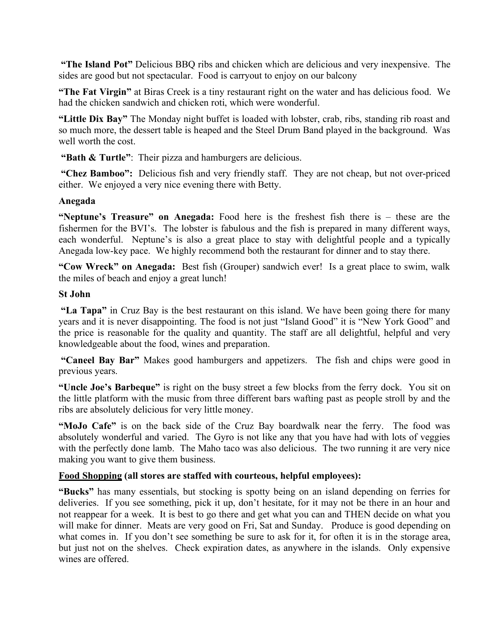**"The Island Pot"** Delicious BBQ ribs and chicken which are delicious and very inexpensive. The sides are good but not spectacular. Food is carryout to enjoy on our balcony

**"The Fat Virgin"** at Biras Creek is a tiny restaurant right on the water and has delicious food. We had the chicken sandwich and chicken roti, which were wonderful.

**"Little Dix Bay"** The Monday night buffet is loaded with lobster, crab, ribs, standing rib roast and so much more, the dessert table is heaped and the Steel Drum Band played in the background. Was well worth the cost.

**"Bath & Turtle":** Their pizza and hamburgers are delicious.

 **"Chez Bamboo":** Delicious fish and very friendly staff. They are not cheap, but not over-priced either. We enjoyed a very nice evening there with Betty.

### **Anegada**

**"Neptune's Treasure" on Anegada:** Food here is the freshest fish there is – these are the fishermen for the BVI's. The lobster is fabulous and the fish is prepared in many different ways, each wonderful. Neptune's is also a great place to stay with delightful people and a typically Anegada low-key pace. We highly recommend both the restaurant for dinner and to stay there.

**"Cow Wreck" on Anegada:** Best fish (Grouper) sandwich ever! Is a great place to swim, walk the miles of beach and enjoy a great lunch!

### **St John**

**"La Tapa"** in Cruz Bay is the best restaurant on this island. We have been going there for many years and it is never disappointing. The food is not just "Island Good" it is "New York Good" and the price is reasonable for the quality and quantity. The staff are all delightful, helpful and very knowledgeable about the food, wines and preparation.

 **"Caneel Bay Bar"** Makes good hamburgers and appetizers. The fish and chips were good in previous years.

**"Uncle Joe's Barbeque"** is right on the busy street a few blocks from the ferry dock. You sit on the little platform with the music from three different bars wafting past as people stroll by and the ribs are absolutely delicious for very little money.

**"MoJo Cafe"** is on the back side of the Cruz Bay boardwalk near the ferry. The food was absolutely wonderful and varied. The Gyro is not like any that you have had with lots of veggies with the perfectly done lamb. The Maho taco was also delicious. The two running it are very nice making you want to give them business.

## **Food Shopping (all stores are staffed with courteous, helpful employees):**

**"Bucks"** has many essentials, but stocking is spotty being on an island depending on ferries for deliveries. If you see something, pick it up, don't hesitate, for it may not be there in an hour and not reappear for a week. It is best to go there and get what you can and THEN decide on what you will make for dinner. Meats are very good on Fri, Sat and Sunday. Produce is good depending on what comes in. If you don't see something be sure to ask for it, for often it is in the storage area, but just not on the shelves. Check expiration dates, as anywhere in the islands. Only expensive wines are offered.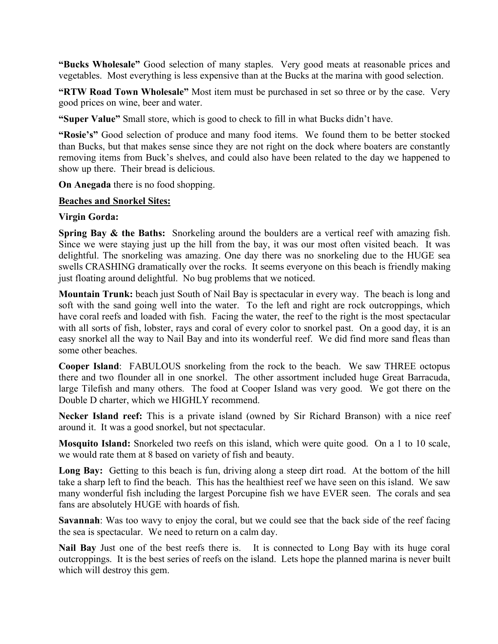**"Bucks Wholesale"** Good selection of many staples. Very good meats at reasonable prices and vegetables. Most everything is less expensive than at the Bucks at the marina with good selection.

**"RTW Road Town Wholesale"** Most item must be purchased in set so three or by the case. Very good prices on wine, beer and water.

**"Super Value"** Small store, which is good to check to fill in what Bucks didn't have.

**"Rosie's"** Good selection of produce and many food items. We found them to be better stocked than Bucks, but that makes sense since they are not right on the dock where boaters are constantly removing items from Buck's shelves, and could also have been related to the day we happened to show up there. Their bread is delicious.

**On Anegada** there is no food shopping.

### **Beaches and Snorkel Sites:**

### **Virgin Gorda:**

**Spring Bay & the Baths:** Snorkeling around the boulders are a vertical reef with amazing fish. Since we were staying just up the hill from the bay, it was our most often visited beach. It was delightful. The snorkeling was amazing. One day there was no snorkeling due to the HUGE sea swells CRASHING dramatically over the rocks. It seems everyone on this beach is friendly making just floating around delightful. No bug problems that we noticed.

**Mountain Trunk:** beach just South of Nail Bay is spectacular in every way. The beach is long and soft with the sand going well into the water. To the left and right are rock outcroppings, which have coral reefs and loaded with fish. Facing the water, the reef to the right is the most spectacular with all sorts of fish, lobster, rays and coral of every color to snorkel past. On a good day, it is an easy snorkel all the way to Nail Bay and into its wonderful reef. We did find more sand fleas than some other beaches.

**Cooper Island**: FABULOUS snorkeling from the rock to the beach. We saw THREE octopus there and two flounder all in one snorkel. The other assortment included huge Great Barracuda, large Tilefish and many others. The food at Cooper Island was very good. We got there on the Double D charter, which we HIGHLY recommend.

**Necker Island reef:** This is a private island (owned by Sir Richard Branson) with a nice reef around it. It was a good snorkel, but not spectacular.

**Mosquito Island:** Snorkeled two reefs on this island, which were quite good. On a 1 to 10 scale, we would rate them at 8 based on variety of fish and beauty.

**Long Bay:** Getting to this beach is fun, driving along a steep dirt road. At the bottom of the hill take a sharp left to find the beach. This has the healthiest reef we have seen on this island. We saw many wonderful fish including the largest Porcupine fish we have EVER seen. The corals and sea fans are absolutely HUGE with hoards of fish.

**Savannah**: Was too wavy to enjoy the coral, but we could see that the back side of the reef facing the sea is spectacular. We need to return on a calm day.

**Nail Bay** Just one of the best reefs there is. It is connected to Long Bay with its huge coral outcroppings. It is the best series of reefs on the island. Lets hope the planned marina is never built which will destroy this gem.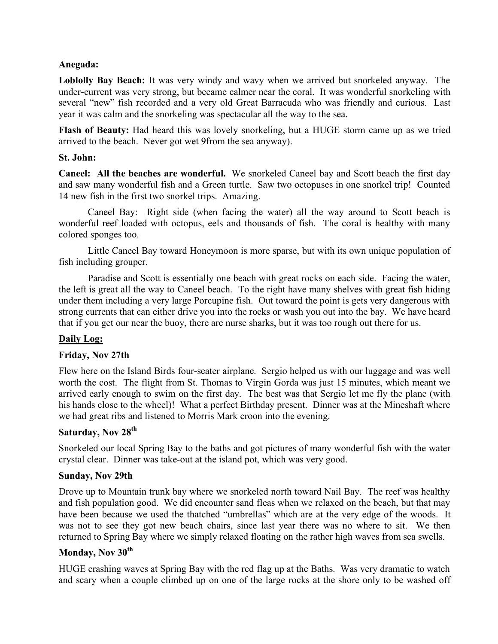### **Anegada:**

**Loblolly Bay Beach:** It was very windy and wavy when we arrived but snorkeled anyway. The under-current was very strong, but became calmer near the coral. It was wonderful snorkeling with several "new" fish recorded and a very old Great Barracuda who was friendly and curious. Last year it was calm and the snorkeling was spectacular all the way to the sea.

**Flash of Beauty:** Had heard this was lovely snorkeling, but a HUGE storm came up as we tried arrived to the beach. Never got wet 9from the sea anyway).

### **St. John:**

**Caneel: All the beaches are wonderful.** We snorkeled Caneel bay and Scott beach the first day and saw many wonderful fish and a Green turtle. Saw two octopuses in one snorkel trip! Counted 14 new fish in the first two snorkel trips. Amazing.

Caneel Bay: Right side (when facing the water) all the way around to Scott beach is wonderful reef loaded with octopus, eels and thousands of fish. The coral is healthy with many colored sponges too.

Little Caneel Bay toward Honeymoon is more sparse, but with its own unique population of fish including grouper.

Paradise and Scott is essentially one beach with great rocks on each side. Facing the water, the left is great all the way to Caneel beach. To the right have many shelves with great fish hiding under them including a very large Porcupine fish. Out toward the point is gets very dangerous with strong currents that can either drive you into the rocks or wash you out into the bay. We have heard that if you get our near the buoy, there are nurse sharks, but it was too rough out there for us.

## **Daily Log:**

### **Friday, Nov 27th**

Flew here on the Island Birds four-seater airplane. Sergio helped us with our luggage and was well worth the cost. The flight from St. Thomas to Virgin Gorda was just 15 minutes, which meant we arrived early enough to swim on the first day. The best was that Sergio let me fly the plane (with his hands close to the wheel)! What a perfect Birthday present. Dinner was at the Mineshaft where we had great ribs and listened to Morris Mark croon into the evening.

### Saturday, Nov 28<sup>th</sup>

Snorkeled our local Spring Bay to the baths and got pictures of many wonderful fish with the water crystal clear. Dinner was take-out at the island pot, which was very good.

### **Sunday, Nov 29th**

Drove up to Mountain trunk bay where we snorkeled north toward Nail Bay. The reef was healthy and fish population good. We did encounter sand fleas when we relaxed on the beach, but that may have been because we used the thatched "umbrellas" which are at the very edge of the woods. It was not to see they got new beach chairs, since last year there was no where to sit. We then returned to Spring Bay where we simply relaxed floating on the rather high waves from sea swells.

### Monday, Nov 30<sup>th</sup>

HUGE crashing waves at Spring Bay with the red flag up at the Baths. Was very dramatic to watch and scary when a couple climbed up on one of the large rocks at the shore only to be washed off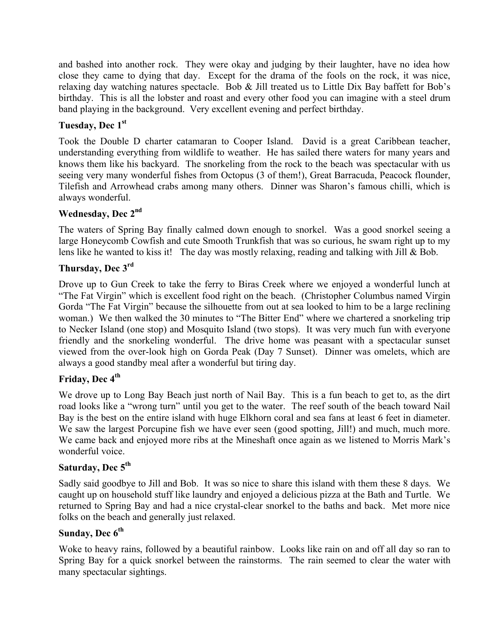and bashed into another rock. They were okay and judging by their laughter, have no idea how close they came to dying that day. Except for the drama of the fools on the rock, it was nice, relaxing day watching natures spectacle. Bob & Jill treated us to Little Dix Bay baffett for Bob's birthday. This is all the lobster and roast and every other food you can imagine with a steel drum band playing in the background. Very excellent evening and perfect birthday.

# **Tuesday, Dec 1st**

Took the Double D charter catamaran to Cooper Island. David is a great Caribbean teacher, understanding everything from wildlife to weather. He has sailed there waters for many years and knows them like his backyard. The snorkeling from the rock to the beach was spectacular with us seeing very many wonderful fishes from Octopus (3 of them!), Great Barracuda, Peacock flounder, Tilefish and Arrowhead crabs among many others. Dinner was Sharon's famous chilli, which is always wonderful.

# **Wednesday, Dec 2nd**

The waters of Spring Bay finally calmed down enough to snorkel. Was a good snorkel seeing a large Honeycomb Cowfish and cute Smooth Trunkfish that was so curious, he swam right up to my lens like he wanted to kiss it! The day was mostly relaxing, reading and talking with Jill & Bob.

## **Thursday, Dec 3rd**

Drove up to Gun Creek to take the ferry to Biras Creek where we enjoyed a wonderful lunch at "The Fat Virgin" which is excellent food right on the beach. (Christopher Columbus named Virgin Gorda "The Fat Virgin" because the silhouette from out at sea looked to him to be a large reclining woman.) We then walked the 30 minutes to "The Bitter End" where we chartered a snorkeling trip to Necker Island (one stop) and Mosquito Island (two stops). It was very much fun with everyone friendly and the snorkeling wonderful. The drive home was peasant with a spectacular sunset viewed from the over-look high on Gorda Peak (Day 7 Sunset). Dinner was omelets, which are always a good standby meal after a wonderful but tiring day.

# Friday, Dec 4<sup>th</sup>

We drove up to Long Bay Beach just north of Nail Bay. This is a fun beach to get to, as the dirt road looks like a "wrong turn" until you get to the water. The reef south of the beach toward Nail Bay is the best on the entire island with huge Elkhorn coral and sea fans at least 6 feet in diameter. We saw the largest Porcupine fish we have ever seen (good spotting, Jill!) and much, much more. We came back and enjoyed more ribs at the Mineshaft once again as we listened to Morris Mark's wonderful voice.

## Saturday, Dec 5<sup>th</sup>

Sadly said goodbye to Jill and Bob. It was so nice to share this island with them these 8 days. We caught up on household stuff like laundry and enjoyed a delicious pizza at the Bath and Turtle. We returned to Spring Bay and had a nice crystal-clear snorkel to the baths and back. Met more nice folks on the beach and generally just relaxed.

# **Sunday, Dec 6<sup>th</sup>**

Woke to heavy rains, followed by a beautiful rainbow. Looks like rain on and off all day so ran to Spring Bay for a quick snorkel between the rainstorms. The rain seemed to clear the water with many spectacular sightings.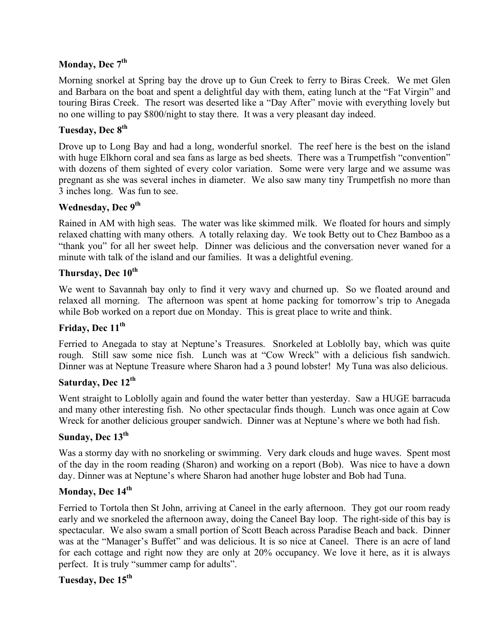## Monday, Dec 7<sup>th</sup>

Morning snorkel at Spring bay the drove up to Gun Creek to ferry to Biras Creek. We met Glen and Barbara on the boat and spent a delightful day with them, eating lunch at the "Fat Virgin" and touring Biras Creek. The resort was deserted like a "Day After" movie with everything lovely but no one willing to pay \$800/night to stay there. It was a very pleasant day indeed.

# **Tuesday, Dec 8th**

Drove up to Long Bay and had a long, wonderful snorkel. The reef here is the best on the island with huge Elkhorn coral and sea fans as large as bed sheets. There was a Trumpetfish "convention" with dozens of them sighted of every color variation. Some were very large and we assume was pregnant as she was several inches in diameter. We also saw many tiny Trumpetfish no more than 3 inches long. Was fun to see.

# Wednesday, Dec 9<sup>th</sup>

Rained in AM with high seas. The water was like skimmed milk. We floated for hours and simply relaxed chatting with many others. A totally relaxing day. We took Betty out to Chez Bamboo as a "thank you" for all her sweet help. Dinner was delicious and the conversation never waned for a minute with talk of the island and our families. It was a delightful evening.

## Thursday, Dec  $10^{th}$

We went to Savannah bay only to find it very wavy and churned up. So we floated around and relaxed all morning. The afternoon was spent at home packing for tomorrow's trip to Anegada while Bob worked on a report due on Monday. This is great place to write and think.

# Friday, Dec 11<sup>th</sup>

Ferried to Anegada to stay at Neptune's Treasures. Snorkeled at Loblolly bay, which was quite rough. Still saw some nice fish. Lunch was at "Cow Wreck" with a delicious fish sandwich. Dinner was at Neptune Treasure where Sharon had a 3 pound lobster! My Tuna was also delicious.

### Saturday, Dec 12<sup>th</sup>

Went straight to Loblolly again and found the water better than yesterday. Saw a HUGE barracuda and many other interesting fish. No other spectacular finds though. Lunch was once again at Cow Wreck for another delicious grouper sandwich. Dinner was at Neptune's where we both had fish.

### Sunday, Dec 13<sup>th</sup>

Was a stormy day with no snorkeling or swimming. Very dark clouds and huge waves. Spent most of the day in the room reading (Sharon) and working on a report (Bob). Was nice to have a down day. Dinner was at Neptune's where Sharon had another huge lobster and Bob had Tuna.

# Monday, Dec 14<sup>th</sup>

Ferried to Tortola then St John, arriving at Caneel in the early afternoon. They got our room ready early and we snorkeled the afternoon away, doing the Caneel Bay loop. The right-side of this bay is spectacular. We also swam a small portion of Scott Beach across Paradise Beach and back. Dinner was at the "Manager's Buffet" and was delicious. It is so nice at Caneel. There is an acre of land for each cottage and right now they are only at 20% occupancy. We love it here, as it is always perfect. It is truly "summer camp for adults".

# **Tuesday, Dec 15th**